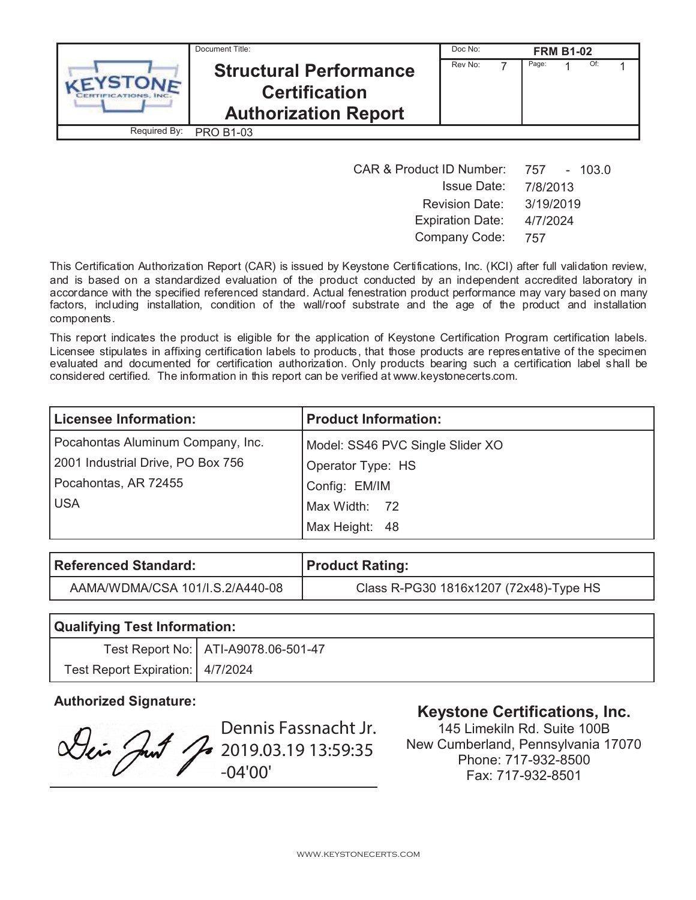|              | Document Title:                                                                      |         | Doc No:<br><b>FRM B1-02</b> |       |  |     |  |
|--------------|--------------------------------------------------------------------------------------|---------|-----------------------------|-------|--|-----|--|
|              | <b>Structural Performance</b><br><b>Certification</b><br><b>Authorization Report</b> | Rev No: |                             | Page: |  | Of: |  |
| Required By: | <b>PRO B1-03</b>                                                                     |         |                             |       |  |     |  |

| <b>CAR &amp; Product ID Number:</b> | 757 - 103.0 |
|-------------------------------------|-------------|
| <b>Issue Date:</b>                  | 7/8/2013    |
| <b>Revision Date:</b>               | 3/19/2019   |
| <b>Expiration Date:</b>             | 4/7/2024    |
| Company Code:                       | 757         |

This Certification Authorization Report (CAR) is issued by Keystone Certifications, Inc. (KCI) after full validation review, and is based on a standardized evaluation of the product conducted by an independent accredited laboratory in accordance with the specified referenced standard. Actual fenestration product performance may vary based on many factors, including installation, condition of the wall/roof substrate and the age of the product and installation components.

This report indicates the product is eligible for the application of Keystone Certification Program certification labels. Licensee stipulates in affixing certification labels to products, that those products are representative of the specimen evaluated and documented for certification authorization. Only products bearing such a certification label shall be considered certified. The information in this report can be verified at www.keystonecerts.com.

| <b>Licensee Information:</b>      | <b>Product Information:</b>      |  |  |
|-----------------------------------|----------------------------------|--|--|
| Pocahontas Aluminum Company, Inc. | Model: SS46 PVC Single Slider XO |  |  |
| 2001 Industrial Drive, PO Box 756 | Operator Type: HS                |  |  |
| Pocahontas, AR 72455              | Config: EM/IM                    |  |  |
| <b>USA</b>                        | Max Width: 72                    |  |  |
|                                   | Max Height: 48                   |  |  |

| Referenced Standard:            | Product Rating:                        |  |  |
|---------------------------------|----------------------------------------|--|--|
| AAMA/WDMA/CSA 101/I.S.2/A440-08 | Class R-PG30 1816x1207 (72x48)-Type HS |  |  |

| <b>Qualifying Test Information:</b> |                                       |  |  |
|-------------------------------------|---------------------------------------|--|--|
|                                     | Test Report No:   ATI-A9078.06-501-47 |  |  |
| Test Report Expiration: 4/7/2024    |                                       |  |  |

Dennis Fassnacht Jr. Lei Just Jo 2019.03.19 13:59:35 -04'00'

## **Authorized Signature: Keystone Certifications, Inc.**

145 Limekiln Rd. Suite 100B New Cumberland, Pennsylvania 17070 Phone: 717-932-8500 Fax: 717-932-8501